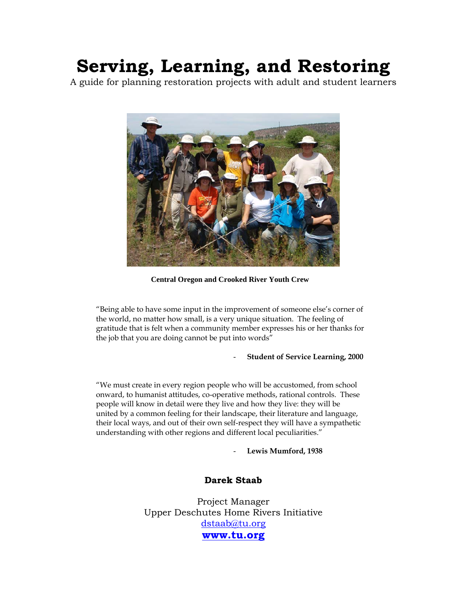# **Serving, Learning, and Restoring**

A guide for planning restoration projects with adult and student learners



**Central Oregon and Crooked River Youth Crew** 

"Being able to have some input in the improvement of someone else's corner of the world, no matter how small, is a very unique situation. The feeling of gratitude that is felt when a community member expresses his or her thanks for the job that you are doing cannot be put into words"

# - **Student of Service Learning, 2000**

"We must create in every region people who will be accustomed, from school onward, to humanist attitudes, co-operative methods, rational controls. These people will know in detail were they live and how they live: they will be united by a common feeling for their landscape, their literature and language, their local ways, and out of their own self-respect they will have a sympathetic understanding with other regions and different local peculiarities."

Lewis Mumford, 1938

# **Darek Staab**

Project Manager Upper Deschutes Home Rivers Initiative dstaab@tu.org **www.tu.org**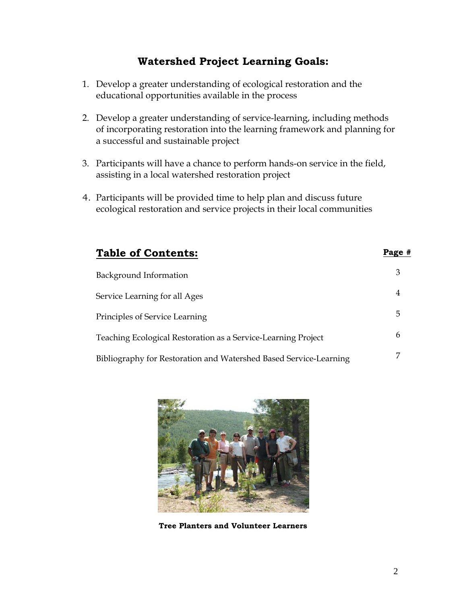# **Watershed Project Learning Goals:**

- 1. Develop a greater understanding of ecological restoration and the educational opportunities available in the process
- 2. Develop a greater understanding of service-learning, including methods of incorporating restoration into the learning framework and planning for a successful and sustainable project
- 3. Participants will have a chance to perform hands-on service in the field, assisting in a local watershed restoration project
- 4. Participants will be provided time to help plan and discuss future ecological restoration and service projects in their local communities

| <b>Table of Contents:</b>                                         | Page # |
|-------------------------------------------------------------------|--------|
| Background Information                                            | 3      |
| Service Learning for all Ages                                     | 4      |
| Principles of Service Learning                                    | 5      |
| Teaching Ecological Restoration as a Service-Learning Project     | 6      |
| Bibliography for Restoration and Watershed Based Service-Learning |        |



 **Tree Planters and Volunteer Learners**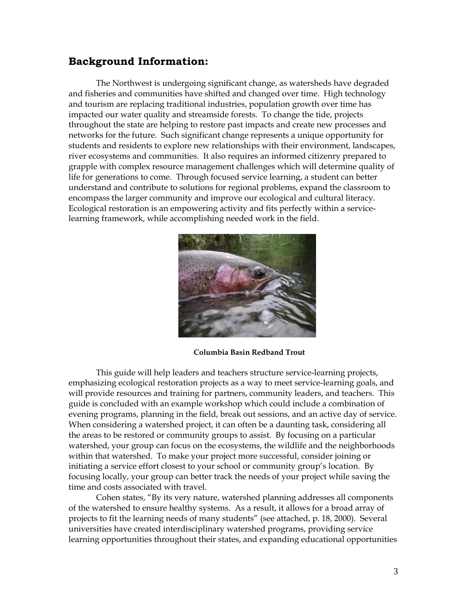# **Background Information:**

The Northwest is undergoing significant change, as watersheds have degraded and fisheries and communities have shifted and changed over time. High technology and tourism are replacing traditional industries, population growth over time has impacted our water quality and streamside forests. To change the tide, projects throughout the state are helping to restore past impacts and create new processes and networks for the future. Such significant change represents a unique opportunity for students and residents to explore new relationships with their environment, landscapes, river ecosystems and communities. It also requires an informed citizenry prepared to grapple with complex resource management challenges which will determine quality of life for generations to come. Through focused service learning, a student can better understand and contribute to solutions for regional problems, expand the classroom to encompass the larger community and improve our ecological and cultural literacy. Ecological restoration is an empowering activity and fits perfectly within a servicelearning framework, while accomplishing needed work in the field.



 **Columbia Basin Redband Trout** 

This guide will help leaders and teachers structure service-learning projects, emphasizing ecological restoration projects as a way to meet service-learning goals, and will provide resources and training for partners, community leaders, and teachers. This guide is concluded with an example workshop which could include a combination of evening programs, planning in the field, break out sessions, and an active day of service. When considering a watershed project, it can often be a daunting task, considering all the areas to be restored or community groups to assist. By focusing on a particular watershed, your group can focus on the ecosystems, the wildlife and the neighborhoods within that watershed. To make your project more successful, consider joining or initiating a service effort closest to your school or community group's location. By focusing locally, your group can better track the needs of your project while saving the time and costs associated with travel.

Cohen states, "By its very nature, watershed planning addresses all components of the watershed to ensure healthy systems. As a result, it allows for a broad array of projects to fit the learning needs of many students" (see attached, p. 18, 2000). Several universities have created interdisciplinary watershed programs, providing service learning opportunities throughout their states, and expanding educational opportunities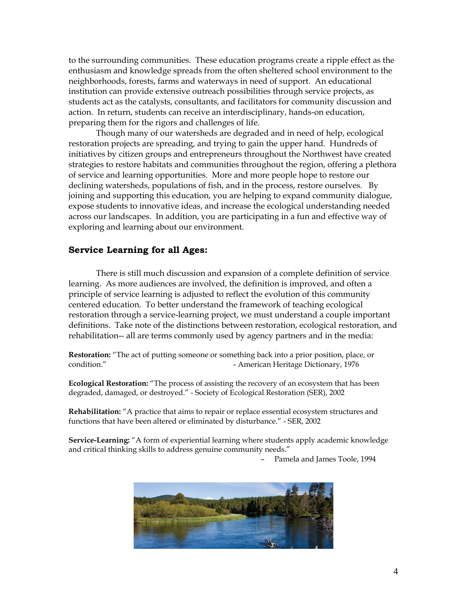to the surrounding communities. These education programs create a ripple effect as the enthusiasm and knowledge spreads from the often sheltered school environment to the neighborhoods, forests, farms and waterways in need of support. An educational institution can provide extensive outreach possibilities through service projects, as students act as the catalysts, consultants, and facilitators for community discussion and action. In return, students can receive an interdisciplinary, hands-on education, preparing them for the rigors and challenges of life.

Though many of our watersheds are degraded and in need of help, ecological restoration projects are spreading, and trying to gain the upper hand. Hundreds of initiatives by citizen groups and entrepreneurs throughout the Northwest have created strategies to restore habitats and communities throughout the region, offering a plethora of service and learning opportunities. More and more people hope to restore our declining watersheds, populations of fish, and in the process, restore ourselves. By joining and supporting this education, you are helping to expand community dialogue, expose students to innovative ideas, and increase the ecological understanding needed across our landscapes. In addition, you are participating in a fun and effective way of exploring and learning about our environment.

# **Service Learning for all Ages:**

There is still much discussion and expansion of a complete definition of service learning. As more audiences are involved, the definition is improved, and often a principle of service learning is adjusted to reflect the evolution of this community centered education. To better understand the framework of teaching ecological restoration through a service-learning project, we must understand a couple important definitions. Take note of the distinctions between restoration, ecological restoration, and rehabilitation-- all are terms commonly used by agency partners and in the media:

**Restoration:** "The act of putting someone or something back into a prior position, place, or condition." The Condition of American Heritage Dictionary, 1976

**Ecological Restoration:** "The process of assisting the recovery of an ecosystem that has been degraded, damaged, or destroyed." - Society of Ecological Restoration (SER), 2002

**Rehabilitation:** "A practice that aims to repair or replace essential ecosystem structures and functions that have been altered or eliminated by disturbance." - SER, 2002

**Service-Learning:** "A form of experiential learning where students apply academic knowledge and critical thinking skills to address genuine community needs."

– Pamela and James Toole, 1994

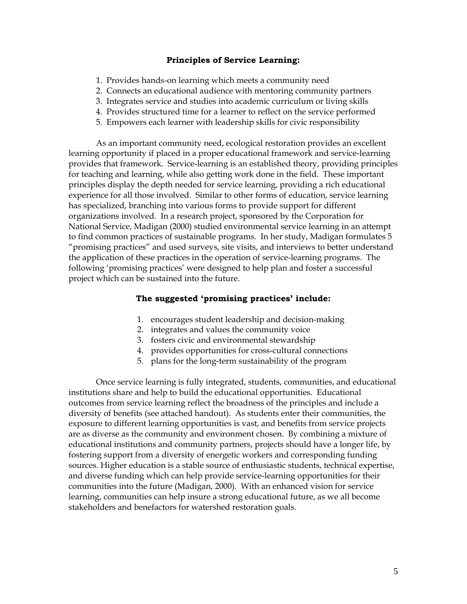#### **Principles of Service Learning:**

- 1. Provides hands-on learning which meets a community need
- 2. Connects an educational audience with mentoring community partners
- 3. Integrates service and studies into academic curriculum or living skills
- 4. Provides structured time for a learner to reflect on the service performed
- 5. Empowers each learner with leadership skills for civic responsibility

As an important community need, ecological restoration provides an excellent learning opportunity if placed in a proper educational framework and service-learning provides that framework. Service-learning is an established theory, providing principles for teaching and learning, while also getting work done in the field. These important principles display the depth needed for service learning, providing a rich educational experience for all those involved. Similar to other forms of education, service learning has specialized, branching into various forms to provide support for different organizations involved. In a research project, sponsored by the Corporation for National Service, Madigan (2000) studied environmental service learning in an attempt to find common practices of sustainable programs. In her study, Madigan formulates 5 "promising practices" and used surveys, site visits, and interviews to better understand the application of these practices in the operation of service-learning programs. The following 'promising practices' were designed to help plan and foster a successful project which can be sustained into the future.

# **The suggested 'promising practices' include:**

- 1. encourages student leadership and decision-making
- 2. integrates and values the community voice
- 3. fosters civic and environmental stewardship
- 4. provides opportunities for cross-cultural connections
- 5. plans for the long-term sustainability of the program

Once service learning is fully integrated, students, communities, and educational institutions share and help to build the educational opportunities. Educational outcomes from service learning reflect the broadness of the principles and include a diversity of benefits (see attached handout). As students enter their communities, the exposure to different learning opportunities is vast, and benefits from service projects are as diverse as the community and environment chosen. By combining a mixture of educational institutions and community partners, projects should have a longer life, by fostering support from a diversity of energetic workers and corresponding funding sources. Higher education is a stable source of enthusiastic students, technical expertise, and diverse funding which can help provide service-learning opportunities for their communities into the future (Madigan, 2000). With an enhanced vision for service learning, communities can help insure a strong educational future, as we all become stakeholders and benefactors for watershed restoration goals.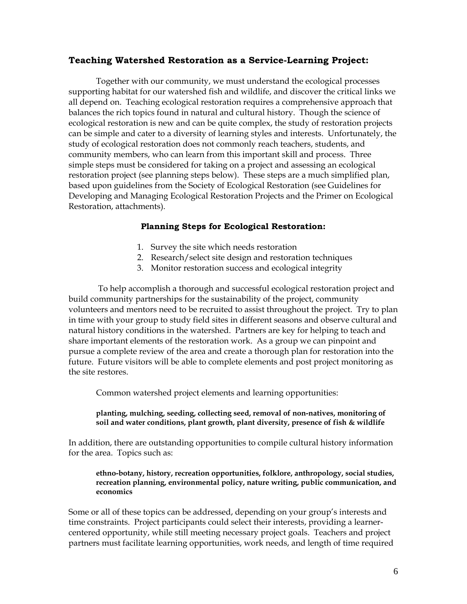# **Teaching Watershed Restoration as a Service-Learning Project:**

Together with our community, we must understand the ecological processes supporting habitat for our watershed fish and wildlife, and discover the critical links we all depend on. Teaching ecological restoration requires a comprehensive approach that balances the rich topics found in natural and cultural history. Though the science of ecological restoration is new and can be quite complex, the study of restoration projects can be simple and cater to a diversity of learning styles and interests. Unfortunately, the study of ecological restoration does not commonly reach teachers, students, and community members, who can learn from this important skill and process. Three simple steps must be considered for taking on a project and assessing an ecological restoration project (see planning steps below). These steps are a much simplified plan, based upon guidelines from the Society of Ecological Restoration (see Guidelines for Developing and Managing Ecological Restoration Projects and the Primer on Ecological Restoration, attachments).

# **Planning Steps for Ecological Restoration:**

- 1. Survey the site which needs restoration
- 2. Research/select site design and restoration techniques
- 3. Monitor restoration success and ecological integrity

 To help accomplish a thorough and successful ecological restoration project and build community partnerships for the sustainability of the project, community volunteers and mentors need to be recruited to assist throughout the project. Try to plan in time with your group to study field sites in different seasons and observe cultural and natural history conditions in the watershed. Partners are key for helping to teach and share important elements of the restoration work. As a group we can pinpoint and pursue a complete review of the area and create a thorough plan for restoration into the future. Future visitors will be able to complete elements and post project monitoring as the site restores.

Common watershed project elements and learning opportunities:

#### **planting, mulching, seeding, collecting seed, removal of non-natives, monitoring of soil and water conditions, plant growth, plant diversity, presence of fish & wildlife**

In addition, there are outstanding opportunities to compile cultural history information for the area. Topics such as:

## **ethno-botany, history, recreation opportunities, folklore, anthropology, social studies, recreation planning, environmental policy, nature writing, public communication, and economics**

Some or all of these topics can be addressed, depending on your group's interests and time constraints. Project participants could select their interests, providing a learnercentered opportunity, while still meeting necessary project goals. Teachers and project partners must facilitate learning opportunities, work needs, and length of time required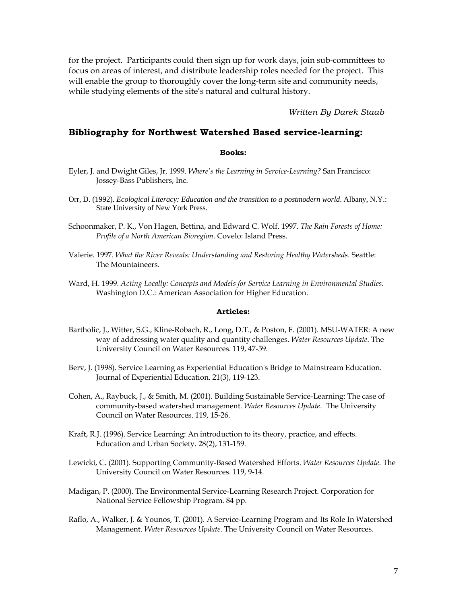for the project. Participants could then sign up for work days, join sub-committees to focus on areas of interest, and distribute leadership roles needed for the project. This will enable the group to thoroughly cover the long-term site and community needs, while studying elements of the site's natural and cultural history.

*Written By Darek Staab* 

## **Bibliography for Northwest Watershed Based service-learning:**

#### **Books:**

- Eyler, J. and Dwight Giles, Jr. 1999. *Where's the Learning in Service-Learning?* San Francisco: Jossey-Bass Publishers, Inc.
- Orr, D. (1992). *Ecological Literacy: Education and the transition to a postmodern world*. Albany, N.Y.: State University of New York Press.
- Schoonmaker, P. K., Von Hagen, Bettina, and Edward C. Wolf. 1997. *The Rain Forests of Home: Profile of a North American Bioregion*. Covelo: Island Press.
- Valerie. 1997. *What the River Reveals: Understanding and Restoring Healthy Watersheds*. Seattle: The Mountaineers.
- Ward, H. 1999. *Acting Locally: Concepts and Models for Service Learning in Environmental Studies*. Washington D.C.: American Association for Higher Education.

#### **Articles:**

- Bartholic, J., Witter, S.G., Kline-Robach, R., Long, D.T., & Poston, F. (2001). MSU-WATER: A new way of addressing water quality and quantity challenges. *Water Resources Update*. The University Council on Water Resources. 119, 47-59.
- Berv, J. (1998). Service Learning as Experiential Education's Bridge to Mainstream Education. Journal of Experiential Education. 21(3), 119-123.
- Cohen, A., Raybuck, J., & Smith, M. (2001). Building Sustainable Service-Learning: The case of community-based watershed management. *Water Resources Update*. The University Council on Water Resources. 119, 15-26.
- Kraft, R.J. (1996). Service Learning: An introduction to its theory, practice, and effects. Education and Urban Society. 28(2), 131-159.
- Lewicki, C. (2001). Supporting Community-Based Watershed Efforts. *Water Resources Update*. The University Council on Water Resources. 119, 9-14.
- Madigan, P. (2000). The Environmental Service-Learning Research Project. Corporation for National Service Fellowship Program. 84 pp.
- Raflo, A., Walker, J. & Younos, T. (2001). A Service-Learning Program and Its Role In Watershed Management. *Water Resources Update*. The University Council on Water Resources.